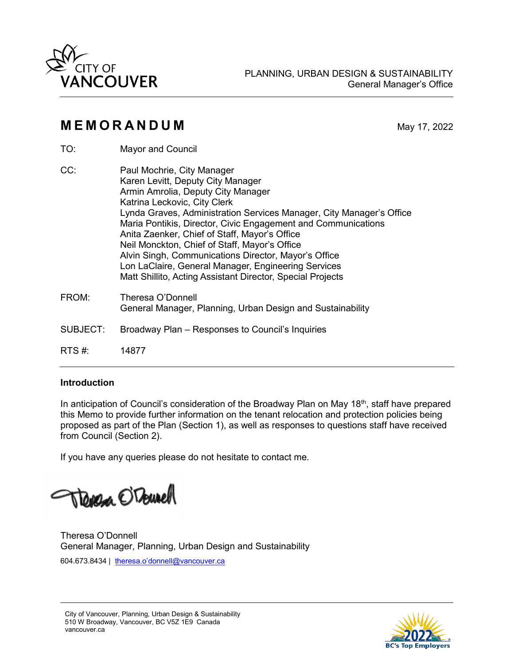

# **M E M O R A N D U M** May 17, 2022

- TO: Mayor and Council
- CC: Paul Mochrie, City Manager Karen Levitt, Deputy City Manager Armin Amrolia, Deputy City Manager Katrina Leckovic, City Clerk Lynda Graves, Administration Services Manager, City Manager's Office Maria Pontikis, Director, Civic Engagement and Communications Anita Zaenker, Chief of Staff, Mayor's Office Neil Monckton, Chief of Staff, Mayor's Office Alvin Singh, Communications Director, Mayor's Office Lon LaClaire, General Manager, Engineering Services Matt Shillito, Acting Assistant Director, Special Projects FROM: Theresa O'Donnell General Manager, Planning, Urban Design and Sustainability SUBJECT: Broadway Plan – Responses to Council's Inquiries RTS #: 14877

## **Introduction**

In anticipation of Council's consideration of the Broadway Plan on May  $18<sup>th</sup>$ , staff have prepared this Memo to provide further information on the tenant relocation and protection policies being proposed as part of the Plan (Section 1), as well as responses to questions staff have received from Council (Section 2).

If you have any queries please do not hesitate to contact me.

Treneza OTourell

Theresa O'Donnell General Manager, Planning, Urban Design and Sustainability 604.673.8434 | [theresa.o'donnell@vancouver.ca](mailto:Theresa.ODonnell@vancouver.ca)

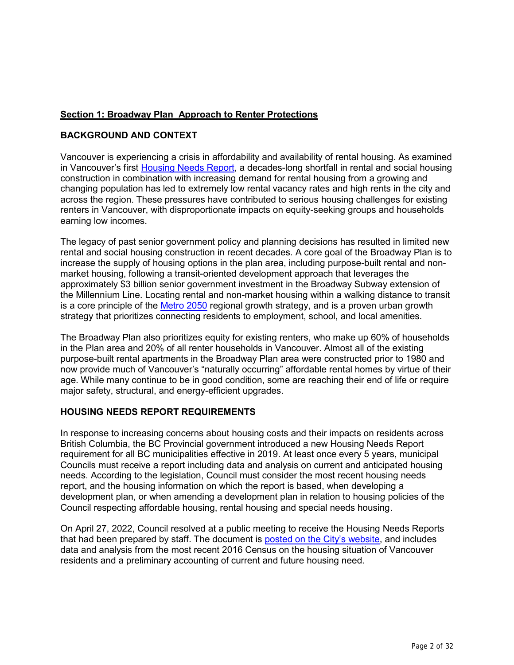## **Section 1: Broadway Plan Approach to Renter Protections**

### **BACKGROUND AND CONTEXT**

Vancouver is experiencing a crisis in affordability and availability of rental housing. As examined in Vancouver's first [Housing Needs Report,](https://vancouver.ca/people-programs/provincial-housing-needs-report.aspx) a decades-long shortfall in rental and social housing construction in combination with increasing demand for rental housing from a growing and changing population has led to extremely low rental vacancy rates and high rents in the city and across the region. These pressures have contributed to serious housing challenges for existing renters in Vancouver, with disproportionate impacts on equity-seeking groups and households earning low incomes.

The legacy of past senior government policy and planning decisions has resulted in limited new rental and social housing construction in recent decades. A core goal of the Broadway Plan is to increase the supply of housing options in the plan area, including purpose-built rental and nonmarket housing, following a transit-oriented development approach that leverages the approximately \$3 billion senior government investment in the Broadway Subway extension of the Millennium Line. Locating rental and non-market housing within a walking distance to transit is a core principle of the [Metro 2050](http://www.metrovancouver.org/services/regional-planning/PlanningPublications/Metro2050.pdf) regional growth strategy, and is a proven urban growth strategy that prioritizes connecting residents to employment, school, and local amenities.

The Broadway Plan also prioritizes equity for existing renters, who make up 60% of households in the Plan area and 20% of all renter households in Vancouver. Almost all of the existing purpose-built rental apartments in the Broadway Plan area were constructed prior to 1980 and now provide much of Vancouver's "naturally occurring" affordable rental homes by virtue of their age. While many continue to be in good condition, some are reaching their end of life or require major safety, structural, and energy-efficient upgrades.

### **HOUSING NEEDS REPORT REQUIREMENTS**

In response to increasing concerns about housing costs and their impacts on residents across British Columbia, the BC Provincial government introduced a new Housing Needs Report requirement for all BC municipalities effective in 2019. At least once every 5 years, municipal Councils must receive a report including data and analysis on current and anticipated housing needs. According to the legislation, Council must consider the most recent housing needs report, and the housing information on which the report is based, when developing a development plan, or when amending a development plan in relation to housing policies of the Council respecting affordable housing, rental housing and special needs housing.

On April 27, 2022, Council resolved at a public meeting to receive the Housing Needs Reports that had been prepared by staff. The document is [posted on the City's website,](https://vancouver.ca/people-programs/provincial-housing-needs-report.aspx) and includes data and analysis from the most recent 2016 Census on the housing situation of Vancouver residents and a preliminary accounting of current and future housing need.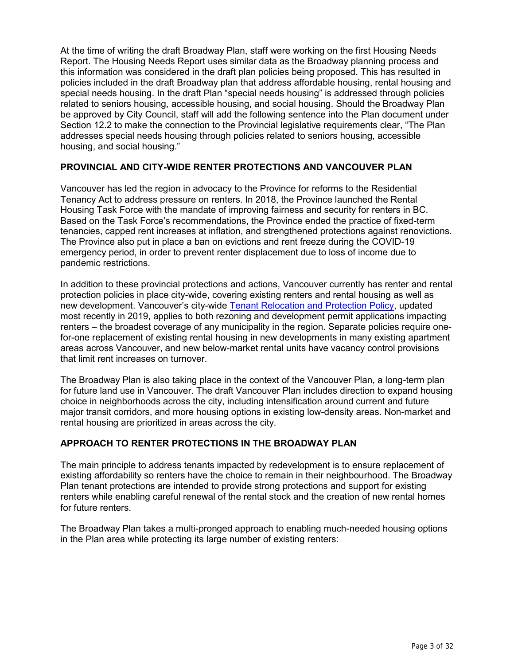At the time of writing the draft Broadway Plan, staff were working on the first Housing Needs Report. The Housing Needs Report uses similar data as the Broadway planning process and this information was considered in the draft plan policies being proposed. This has resulted in policies included in the draft Broadway plan that address affordable housing, rental housing and special needs housing. In the draft Plan "special needs housing" is addressed through policies related to seniors housing, accessible housing, and social housing. Should the Broadway Plan be approved by City Council, staff will add the following sentence into the Plan document under Section 12.2 to make the connection to the Provincial legislative requirements clear, "The Plan addresses special needs housing through policies related to seniors housing, accessible housing, and social housing."

#### **PROVINCIAL AND CITY-WIDE RENTER PROTECTIONS AND VANCOUVER PLAN**

Vancouver has led the region in advocacy to the Province for reforms to the Residential Tenancy Act to address pressure on renters. In 2018, the Province launched the Rental Housing Task Force with the mandate of improving fairness and security for renters in BC. Based on the Task Force's recommendations, the Province ended the practice of fixed-term tenancies, capped rent increases at inflation, and strengthened protections against renovictions. The Province also put in place a ban on evictions and rent freeze during the COVID-19 emergency period, in order to prevent renter displacement due to loss of income due to pandemic restrictions.

In addition to these provincial protections and actions, Vancouver currently has renter and rental protection policies in place city-wide, covering existing renters and rental housing as well as new development. Vancouver's city-wide [Tenant Relocation and Protection Policy,](https://vancouver.ca/people-programs/protecting-tenants.aspx) updated most recently in 2019, applies to both rezoning and development permit applications impacting renters – the broadest coverage of any municipality in the region. Separate policies require onefor-one replacement of existing rental housing in new developments in many existing apartment areas across Vancouver, and new below-market rental units have vacancy control provisions that limit rent increases on turnover.

The Broadway Plan is also taking place in the context of the Vancouver Plan, a long-term plan for future land use in Vancouver. The draft Vancouver Plan includes direction to expand housing choice in neighborhoods across the city, including intensification around current and future major transit corridors, and more housing options in existing low-density areas. Non-market and rental housing are prioritized in areas across the city.

## **APPROACH TO RENTER PROTECTIONS IN THE BROADWAY PLAN**

The main principle to address tenants impacted by redevelopment is to ensure replacement of existing affordability so renters have the choice to remain in their neighbourhood. The Broadway Plan tenant protections are intended to provide strong protections and support for existing renters while enabling careful renewal of the rental stock and the creation of new rental homes for future renters.

The Broadway Plan takes a multi-pronged approach to enabling much-needed housing options in the Plan area while protecting its large number of existing renters: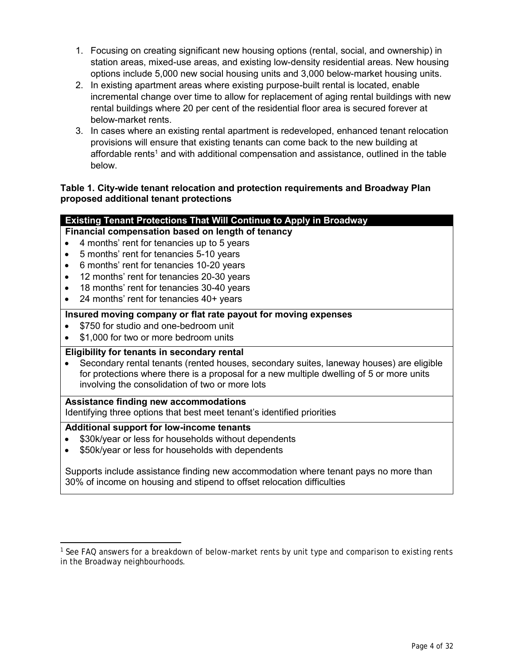- 1. Focusing on creating significant new housing options (rental, social, and ownership) in station areas, mixed-use areas, and existing low-density residential areas. New housing options include 5,000 new social housing units and 3,000 below-market housing units.
- 2. In existing apartment areas where existing purpose-built rental is located, enable incremental change over time to allow for replacement of aging rental buildings with new rental buildings where 20 per cent of the residential floor area is secured forever at below-market rents.
- 3. In cases where an existing rental apartment is redeveloped, enhanced tenant relocation provisions will ensure that existing tenants can come back to the new building at affordable rents<sup>1</sup> and with additional compensation and assistance, outlined in the table below.

## **Table 1. City-wide tenant relocation and protection requirements and Broadway Plan proposed additional tenant protections**

### **Existing Tenant Protections That Will Continue to Apply in Broadway**

- **Financial compensation based on length of tenancy**
- 4 months' rent for tenancies up to 5 years
- 5 months' rent for tenancies 5-10 years
- 6 months' rent for tenancies 10-20 years
- 12 months' rent for tenancies 20-30 years
- 18 months' rent for tenancies 30-40 years
- 24 months' rent for tenancies 40+ years

#### **Insured moving company or flat rate payout for moving expenses**

- \$750 for studio and one-bedroom unit
- \$1,000 for two or more bedroom units

#### **Eligibility for tenants in secondary rental**

 Secondary rental tenants (rented houses, secondary suites, laneway houses) are eligible for protections where there is a proposal for a new multiple dwelling of 5 or more units involving the consolidation of two or more lots

#### **Assistance finding new accommodations**

Identifying three options that best meet tenant's identified priorities

#### **Additional support for low-income tenants**

- \$30k/year or less for households without dependents
- \$50k/year or less for households with dependents

Supports include assistance finding new accommodation where tenant pays no more than 30% of income on housing and stipend to offset relocation difficulties

<sup>&</sup>lt;sup>1</sup> See FAQ answers for a breakdown of below-market rents by unit type and comparison to existing rents in the Broadway neighbourhoods.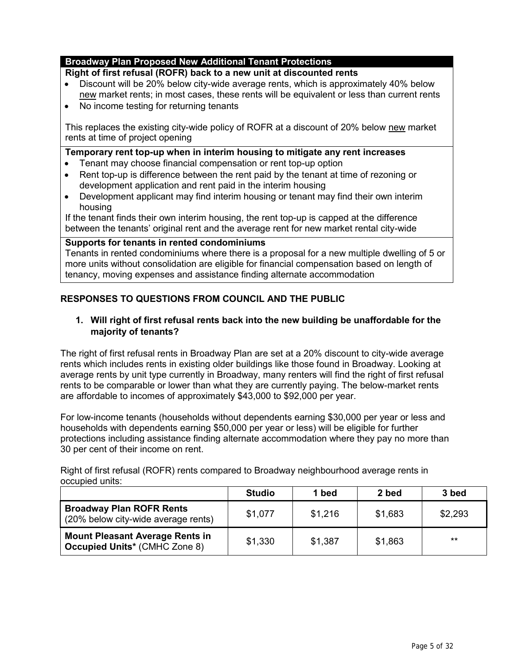#### **Broadway Plan Proposed New Additional Tenant Protections**

#### **Right of first refusal (ROFR) back to a new unit at discounted rents**

- Discount will be 20% below city-wide average rents, which is approximately 40% below new market rents; in most cases, these rents will be equivalent or less than current rents
- No income testing for returning tenants

This replaces the existing city-wide policy of ROFR at a discount of 20% below new market rents at time of project opening

#### **Temporary rent top-up when in interim housing to mitigate any rent increases**

- Tenant may choose financial compensation or rent top-up option
- Rent top-up is difference between the rent paid by the tenant at time of rezoning or development application and rent paid in the interim housing
- Development applicant may find interim housing or tenant may find their own interim housing

If the tenant finds their own interim housing, the rent top-up is capped at the difference between the tenants' original rent and the average rent for new market rental city-wide

#### **Supports for tenants in rented condominiums**

Tenants in rented condominiums where there is a proposal for a new multiple dwelling of 5 or more units without consolidation are eligible for financial compensation based on length of tenancy, moving expenses and assistance finding alternate accommodation

## **RESPONSES TO QUESTIONS FROM COUNCIL AND THE PUBLIC**

## **1. Will right of first refusal rents back into the new building be unaffordable for the majority of tenants?**

The right of first refusal rents in Broadway Plan are set at a 20% discount to city-wide average rents which includes rents in existing older buildings like those found in Broadway. Looking at average rents by unit type currently in Broadway, many renters will find the right of first refusal rents to be comparable or lower than what they are currently paying. The below-market rents are affordable to incomes of approximately \$43,000 to \$92,000 per year.

For low-income tenants (households without dependents earning \$30,000 per year or less and households with dependents earning \$50,000 per year or less) will be eligible for further protections including assistance finding alternate accommodation where they pay no more than 30 per cent of their income on rent.

Right of first refusal (ROFR) rents compared to Broadway neighbourhood average rents in occupied units:

|                                                                                | Studio  | 1 bed   | 2 bed   | 3 bed   |
|--------------------------------------------------------------------------------|---------|---------|---------|---------|
| <b>Broadway Plan ROFR Rents</b><br>(20% below city-wide average rents)         | \$1,077 | \$1,216 | \$1,683 | \$2,293 |
| <b>Mount Pleasant Average Rents in</b><br><b>Occupied Units* (CMHC Zone 8)</b> | \$1,330 | \$1,387 | \$1,863 | $**$    |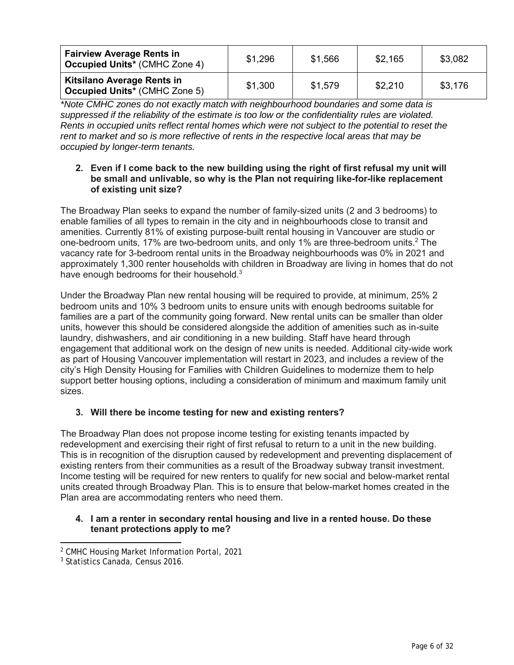| <b>Fairview Average Rents in</b><br><b>Occupied Units* (CMHC Zone 4)</b>  | \$1,296 | \$1,566 | \$2,165 | \$3,082 |
|---------------------------------------------------------------------------|---------|---------|---------|---------|
| <b>Kitsilano Average Rents in</b><br><b>Occupied Units* (CMHC Zone 5)</b> | \$1,300 | \$1,579 | \$2,210 | \$3,176 |

*\*Note CMHC zones do not exactly match with neighbourhood boundaries and some data is suppressed if the reliability of the estimate is too low or the confidentiality rules are violated. Rents in occupied units reflect rental homes which were not subject to the potential to reset the rent to market and so is more reflective of rents in the respective local areas that may be occupied by longer-term tenants.*

### **2. Even if I come back to the new building using the right of first refusal my unit will be small and unlivable, so why is the Plan not requiring like-for-like replacement of existing unit size?**

The Broadway Plan seeks to expand the number of family-sized units (2 and 3 bedrooms) to enable families of all types to remain in the city and in neighbourhoods close to transit and amenities. Currently 81% of existing purpose-built rental housing in Vancouver are studio or one-bedroom units, 17% are two-bedroom units, and only 1% are three-bedroom units.<sup>2</sup> The vacancy rate for 3-bedroom rental units in the Broadway neighbourhoods was 0% in 2021 and approximately 1,300 renter households with children in Broadway are living in homes that do not have enough bedrooms for their household.<sup>3</sup>

Under the Broadway Plan new rental housing will be required to provide, at minimum, 25% 2 bedroom units and 10% 3 bedroom units to ensure units with enough bedrooms suitable for families are a part of the community going forward. New rental units can be smaller than older units, however this should be considered alongside the addition of amenities such as in-suite laundry, dishwashers, and air conditioning in a new building. Staff have heard through engagement that additional work on the design of new units is needed. Additional city-wide work as part of Housing Vancouver implementation will restart in 2023, and includes a review of the city's High Density Housing for Families with Children Guidelines to modernize them to help support better housing options, including a consideration of minimum and maximum family unit sizes.

## **3. Will there be income testing for new and existing renters?**

The Broadway Plan does not propose income testing for existing tenants impacted by redevelopment and exercising their right of first refusal to return to a unit in the new building. This is in recognition of the disruption caused by redevelopment and preventing displacement of existing renters from their communities as a result of the Broadway subway transit investment. Income testing will be required for new renters to qualify for new social and below-market rental units created through Broadway Plan. This is to ensure that below-market homes created in the Plan area are accommodating renters who need them.

#### **4. I am a renter in secondary rental housing and live in a rented house. Do these tenant protections apply to me?**

<sup>2</sup> CMHC Housing Market Information Portal, 2021

<sup>3</sup> Statistics Canada, Census 2016.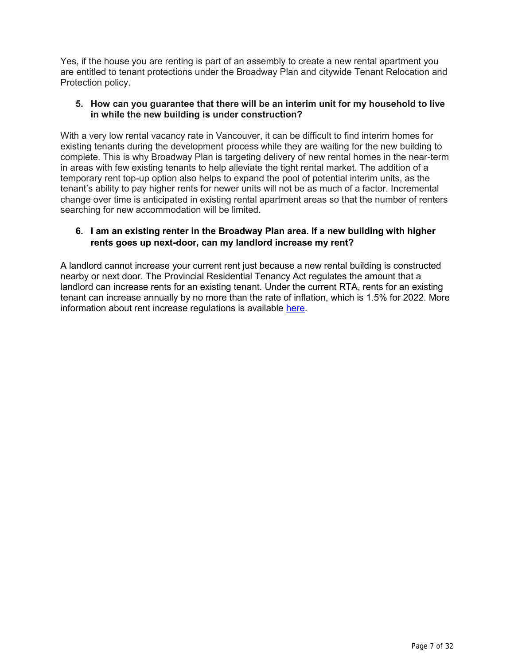Yes, if the house you are renting is part of an assembly to create a new rental apartment you are entitled to tenant protections under the Broadway Plan and citywide Tenant Relocation and Protection policy.

#### **5. How can you guarantee that there will be an interim unit for my household to live in while the new building is under construction?**

With a very low rental vacancy rate in Vancouver, it can be difficult to find interim homes for existing tenants during the development process while they are waiting for the new building to complete. This is why Broadway Plan is targeting delivery of new rental homes in the near-term in areas with few existing tenants to help alleviate the tight rental market. The addition of a temporary rent top-up option also helps to expand the pool of potential interim units, as the tenant's ability to pay higher rents for newer units will not be as much of a factor. Incremental change over time is anticipated in existing rental apartment areas so that the number of renters searching for new accommodation will be limited.

## **6. I am an existing renter in the Broadway Plan area. If a new building with higher rents goes up next-door, can my landlord increase my rent?**

A landlord cannot increase your current rent just because a new rental building is constructed nearby or next door. The Provincial Residential Tenancy Act regulates the amount that a landlord can increase rents for an existing tenant. Under the current RTA, rents for an existing tenant can increase annually by no more than the rate of inflation, which is 1.5% for 2022. More information about rent increase regulations is available [here.](https://www2.gov.bc.ca/gov/content/housing-tenancy/residential-tenancies/during-a-tenancy/rent-increases)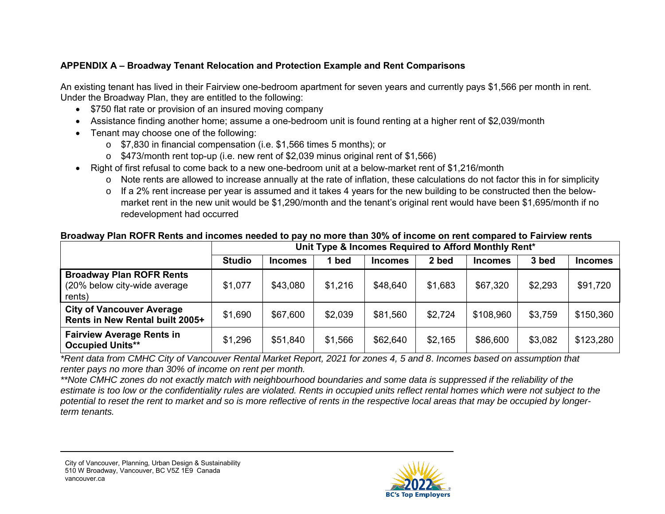## **APPENDIX A – Broadway Tenant Relocation and Protection Example and Rent Comparisons**

An existing tenant has lived in their Fairview one-bedroom apartment for seven years and currently pays \$1,566 per month in rent. Under the Broadway Plan, they are entitled to the following:

- \$750 flat rate or provision of an insured moving company
- Assistance finding another home; assume a one-bedroom unit is found renting at a higher rent of \$2,039/month
- Tenant may choose one of the following:
	- o \$7,830 in financial compensation (i.e. \$1,566 times 5 months); or
	- o \$473/month rent top-up (i.e. new rent of \$2,039 minus original rent of \$1,566)
- Right of first refusal to come back to a new one-bedroom unit at a below-market rent of \$1,216/month
	- o Note rents are allowed to increase annually at the rate of inflation, these calculations do not factor this in for simplicity
	- $\circ$  If a 2% rent increase per year is assumed and it takes 4 years for the new building to be constructed then the belowmarket rent in the new unit would be \$1,290/month and the tenant's original rent would have been \$1,695/month if no redevelopment had occurred

## **Broadway Plan ROFR Rents and incomes needed to pay no more than 30% of income on rent compared to Fairview rents**

|                                                                           | Unit Type & Incomes Required to Afford Monthly Rent* |                |         |                |         |                |         |                |
|---------------------------------------------------------------------------|------------------------------------------------------|----------------|---------|----------------|---------|----------------|---------|----------------|
|                                                                           | <b>Studio</b>                                        | <b>Incomes</b> | 1 bed   | <b>Incomes</b> | 2 bed   | <b>Incomes</b> | 3 bed   | <b>Incomes</b> |
| <b>Broadway Plan ROFR Rents</b><br>(20% below city-wide average<br>rents) | \$1,077                                              | \$43,080       | \$1,216 | \$48,640       | \$1,683 | \$67,320       | \$2,293 | \$91,720       |
| <b>City of Vancouver Average</b><br>Rents in New Rental built 2005+       | \$1,690                                              | \$67,600       | \$2,039 | \$81,560       | \$2,724 | \$108,960      | \$3,759 | \$150,360      |
| <b>Fairview Average Rents in</b><br><b>Occupied Units**</b>               | \$1,296                                              | \$51,840       | \$1,566 | \$62,640       | \$2,165 | \$86,600       | \$3,082 | \$123,280      |

*\*Rent data from CMHC City of Vancouver Rental Market Report, 2021 for zones 4, 5 and 8*. *Incomes based on assumption that renter pays no more than 30% of income on rent per month.*

*\*\*Note CMHC zones do not exactly match with neighbourhood boundaries and some data is suppressed if the reliability of the estimate is too low or the confidentiality rules are violated. Rents in occupied units reflect rental homes which were not subject to the potential to reset the rent to market and so is more reflective of rents in the respective local areas that may be occupied by longerterm tenants.* 

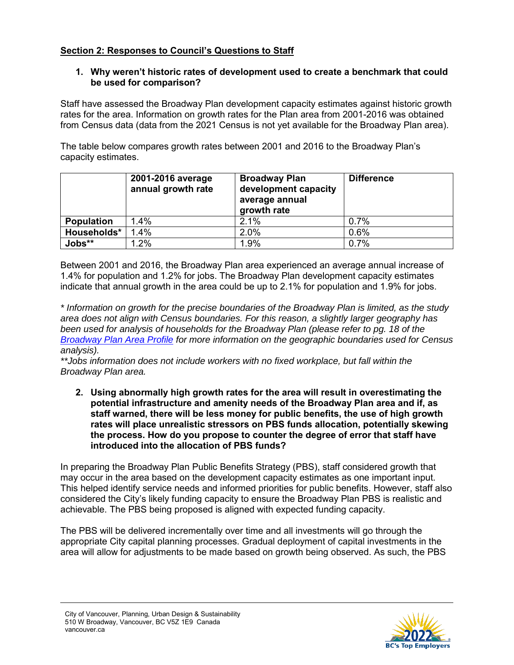## **Section 2: Responses to Council's Questions to Staff**

## **1. Why weren't historic rates of development used to create a benchmark that could be used for comparison?**

Staff have assessed the Broadway Plan development capacity estimates against historic growth rates for the area. Information on growth rates for the Plan area from 2001-2016 was obtained from Census data (data from the 2021 Census is not yet available for the Broadway Plan area).

The table below compares growth rates between 2001 and 2016 to the Broadway Plan's capacity estimates.

|                   | 2001-2016 average<br>annual growth rate | <b>Broadway Plan</b><br>development capacity<br>average annual<br>growth rate | <b>Difference</b> |
|-------------------|-----------------------------------------|-------------------------------------------------------------------------------|-------------------|
| <b>Population</b> | 1.4%                                    | 2.1%                                                                          | 0.7%              |
| Households*       | 1.4%                                    | 2.0%                                                                          | 0.6%              |
| Jobs**            | 1.2%                                    | 1.9%                                                                          | 0.7%              |

Between 2001 and 2016, the Broadway Plan area experienced an average annual increase of 1.4% for population and 1.2% for jobs. The Broadway Plan development capacity estimates indicate that annual growth in the area could be up to 2.1% for population and 1.9% for jobs.

*\* Information on growth for the precise boundaries of the Broadway Plan is limited, as the study area does not align with Census boundaries. For this reason, a slightly larger geography has been used for analysis of households for the Broadway Plan (please refer to pg. 18 of the [Broadway Plan Area Profile](https://vancouver.ca/files/cov/broadway-plan-area-profile.pdf) for more information on the geographic boundaries used for Census analysis).*

*\*\*Jobs information does not include workers with no fixed workplace, but fall within the Broadway Plan area.*

**2. Using abnormally high growth rates for the area will result in overestimating the potential infrastructure and amenity needs of the Broadway Plan area and if, as staff warned, there will be less money for public benefits, the use of high growth rates will place unrealistic stressors on PBS funds allocation, potentially skewing the process. How do you propose to counter the degree of error that staff have introduced into the allocation of PBS funds?**

In preparing the Broadway Plan Public Benefits Strategy (PBS), staff considered growth that may occur in the area based on the development capacity estimates as one important input. This helped identify service needs and informed priorities for public benefits. However, staff also considered the City's likely funding capacity to ensure the Broadway Plan PBS is realistic and achievable. The PBS being proposed is aligned with expected funding capacity.

The PBS will be delivered incrementally over time and all investments will go through the appropriate City capital planning processes. Gradual deployment of capital investments in the area will allow for adjustments to be made based on growth being observed. As such, the PBS

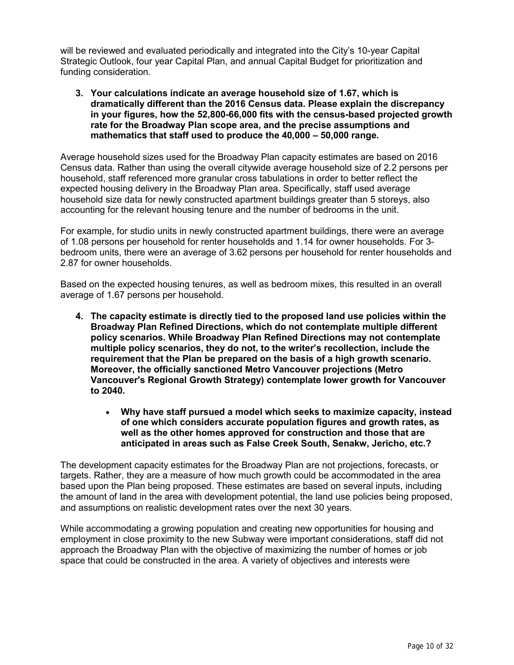will be reviewed and evaluated periodically and integrated into the City's 10-year Capital Strategic Outlook, four year Capital Plan, and annual Capital Budget for prioritization and funding consideration.

**3. Your calculations indicate an average household size of 1.67, which is dramatically different than the 2016 Census data. Please explain the discrepancy in your figures, how the 52,800-66,000 fits with the census-based projected growth rate for the Broadway Plan scope area, and the precise assumptions and mathematics that staff used to produce the 40,000 – 50,000 range.**

Average household sizes used for the Broadway Plan capacity estimates are based on 2016 Census data. Rather than using the overall citywide average household size of 2.2 persons per household, staff referenced more granular cross tabulations in order to better reflect the expected housing delivery in the Broadway Plan area. Specifically, staff used average household size data for newly constructed apartment buildings greater than 5 storeys, also accounting for the relevant housing tenure and the number of bedrooms in the unit.

For example, for studio units in newly constructed apartment buildings, there were an average of 1.08 persons per household for renter households and 1.14 for owner households. For 3 bedroom units, there were an average of 3.62 persons per household for renter households and 2.87 for owner households.

Based on the expected housing tenures, as well as bedroom mixes, this resulted in an overall average of 1.67 persons per household.

- **4. The capacity estimate is directly tied to the proposed land use policies within the Broadway Plan Refined Directions, which do not contemplate multiple different policy scenarios. While Broadway Plan Refined Directions may not contemplate multiple policy scenarios, they do not, to the writer's recollection, include the requirement that the Plan be prepared on the basis of a high growth scenario. Moreover, the officially sanctioned Metro Vancouver projections (Metro Vancouver's Regional Growth Strategy) contemplate lower growth for Vancouver to 2040.**
	- **Why have staff pursued a model which seeks to maximize capacity, instead of one which considers accurate population figures and growth rates, as well as the other homes approved for construction and those that are anticipated in areas such as False Creek South, Senakw, Jericho, etc.?**

The development capacity estimates for the Broadway Plan are not projections, forecasts, or targets. Rather, they are a measure of how much growth could be accommodated in the area based upon the Plan being proposed. These estimates are based on several inputs, including the amount of land in the area with development potential, the land use policies being proposed, and assumptions on realistic development rates over the next 30 years.

While accommodating a growing population and creating new opportunities for housing and employment in close proximity to the new Subway were important considerations, staff did not approach the Broadway Plan with the objective of maximizing the number of homes or job space that could be constructed in the area. A variety of objectives and interests were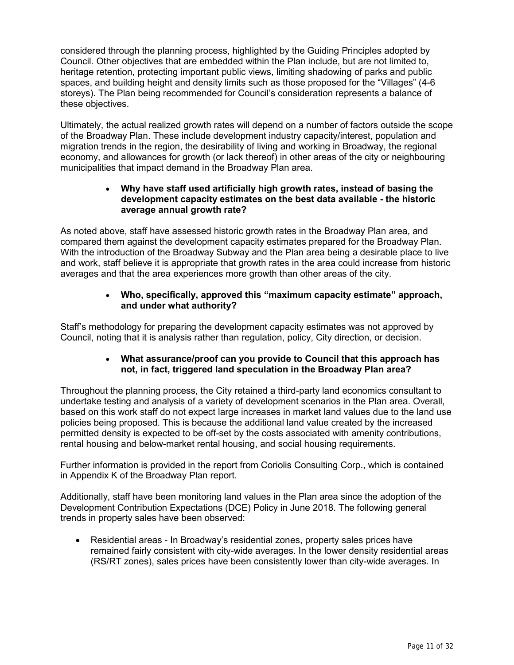considered through the planning process, highlighted by the Guiding Principles adopted by Council. Other objectives that are embedded within the Plan include, but are not limited to, heritage retention, protecting important public views, limiting shadowing of parks and public spaces, and building height and density limits such as those proposed for the "Villages" (4-6 storeys). The Plan being recommended for Council's consideration represents a balance of these objectives.

Ultimately, the actual realized growth rates will depend on a number of factors outside the scope of the Broadway Plan. These include development industry capacity/interest, population and migration trends in the region, the desirability of living and working in Broadway, the regional economy, and allowances for growth (or lack thereof) in other areas of the city or neighbouring municipalities that impact demand in the Broadway Plan area.

#### **Why have staff used artificially high growth rates, instead of basing the development capacity estimates on the best data available - the historic average annual growth rate?**

As noted above, staff have assessed historic growth rates in the Broadway Plan area, and compared them against the development capacity estimates prepared for the Broadway Plan. With the introduction of the Broadway Subway and the Plan area being a desirable place to live and work, staff believe it is appropriate that growth rates in the area could increase from historic averages and that the area experiences more growth than other areas of the city.

## **Who, specifically, approved this "maximum capacity estimate" approach, and under what authority?**

Staff's methodology for preparing the development capacity estimates was not approved by Council, noting that it is analysis rather than regulation, policy, City direction, or decision.

### **What assurance/proof can you provide to Council that this approach has not, in fact, triggered land speculation in the Broadway Plan area?**

Throughout the planning process, the City retained a third-party land economics consultant to undertake testing and analysis of a variety of development scenarios in the Plan area. Overall, based on this work staff do not expect large increases in market land values due to the land use policies being proposed. This is because the additional land value created by the increased permitted density is expected to be off-set by the costs associated with amenity contributions, rental housing and below-market rental housing, and social housing requirements.

Further information is provided in the report from Coriolis Consulting Corp., which is contained in Appendix K of the Broadway Plan report.

Additionally, staff have been monitoring land values in the Plan area since the adoption of the Development Contribution Expectations (DCE) Policy in June 2018. The following general trends in property sales have been observed:

 Residential areas - In Broadway's residential zones, property sales prices have remained fairly consistent with city-wide averages. In the lower density residential areas (RS/RT zones), sales prices have been consistently lower than city-wide averages. In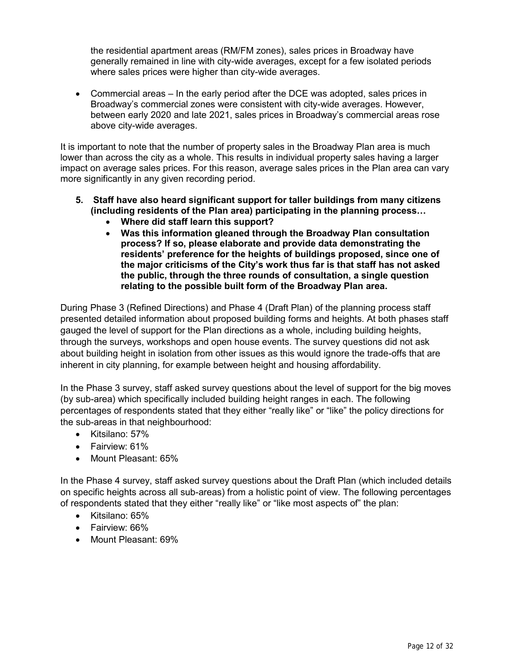the residential apartment areas (RM/FM zones), sales prices in Broadway have generally remained in line with city-wide averages, except for a few isolated periods where sales prices were higher than city-wide averages.

 Commercial areas – In the early period after the DCE was adopted, sales prices in Broadway's commercial zones were consistent with city-wide averages. However, between early 2020 and late 2021, sales prices in Broadway's commercial areas rose above city-wide averages.

It is important to note that the number of property sales in the Broadway Plan area is much lower than across the city as a whole. This results in individual property sales having a larger impact on average sales prices. For this reason, average sales prices in the Plan area can vary more significantly in any given recording period.

- **5. Staff have also heard significant support for taller buildings from many citizens (including residents of the Plan area) participating in the planning process…**
	- **Where did staff learn this support?**
	- **Was this information gleaned through the Broadway Plan consultation process? If so, please elaborate and provide data demonstrating the residents' preference for the heights of buildings proposed, since one of the major criticisms of the City's work thus far is that staff has not asked the public, through the three rounds of consultation, a single question relating to the possible built form of the Broadway Plan area.**

During Phase 3 (Refined Directions) and Phase 4 (Draft Plan) of the planning process staff presented detailed information about proposed building forms and heights. At both phases staff gauged the level of support for the Plan directions as a whole, including building heights, through the surveys, workshops and open house events. The survey questions did not ask about building height in isolation from other issues as this would ignore the trade-offs that are inherent in city planning, for example between height and housing affordability.

In the Phase 3 survey, staff asked survey questions about the level of support for the big moves (by sub-area) which specifically included building height ranges in each. The following percentages of respondents stated that they either "really like" or "like" the policy directions for the sub-areas in that neighbourhood:

- Kitsilano: 57%
- Fairview: 61%
- Mount Pleasant: 65%

In the Phase 4 survey, staff asked survey questions about the Draft Plan (which included details on specific heights across all sub-areas) from a holistic point of view. The following percentages of respondents stated that they either "really like" or "like most aspects of" the plan:

- Kitsilano: 65%
- Fairview: 66%
- Mount Pleasant: 69%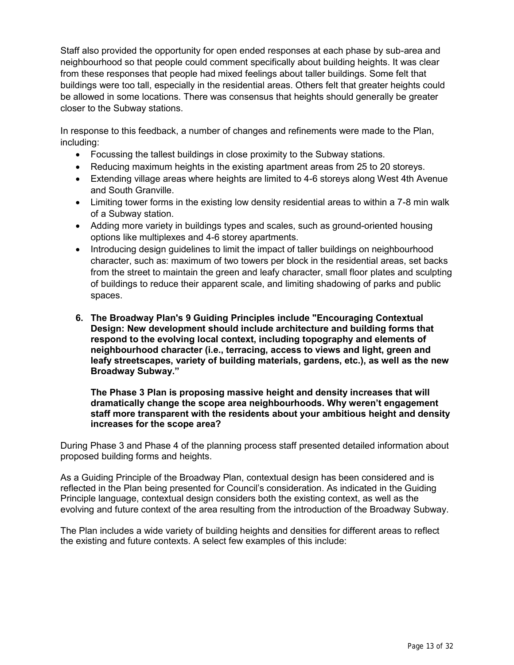Staff also provided the opportunity for open ended responses at each phase by sub-area and neighbourhood so that people could comment specifically about building heights. It was clear from these responses that people had mixed feelings about taller buildings. Some felt that buildings were too tall, especially in the residential areas. Others felt that greater heights could be allowed in some locations. There was consensus that heights should generally be greater closer to the Subway stations.

In response to this feedback, a number of changes and refinements were made to the Plan, including:

- Focussing the tallest buildings in close proximity to the Subway stations.
- Reducing maximum heights in the existing apartment areas from 25 to 20 storeys.
- Extending village areas where heights are limited to 4-6 storeys along West 4th Avenue and South Granville.
- Limiting tower forms in the existing low density residential areas to within a 7-8 min walk of a Subway station.
- Adding more variety in buildings types and scales, such as ground-oriented housing options like multiplexes and 4-6 storey apartments.
- Introducing design guidelines to limit the impact of taller buildings on neighbourhood character, such as: maximum of two towers per block in the residential areas, set backs from the street to maintain the green and leafy character, small floor plates and sculpting of buildings to reduce their apparent scale, and limiting shadowing of parks and public spaces.
- **6. The Broadway Plan's 9 Guiding Principles include "Encouraging Contextual Design: New development should include architecture and building forms that respond to the evolving local context, including topography and elements of neighbourhood character (i.e., terracing, access to views and light, green and leafy streetscapes, variety of building materials, gardens, etc.), as well as the new Broadway Subway."**

**The Phase 3 Plan is proposing massive height and density increases that will dramatically change the scope area neighbourhoods. Why weren't engagement staff more transparent with the residents about your ambitious height and density increases for the scope area?**

During Phase 3 and Phase 4 of the planning process staff presented detailed information about proposed building forms and heights.

As a Guiding Principle of the Broadway Plan, contextual design has been considered and is reflected in the Plan being presented for Council's consideration. As indicated in the Guiding Principle language, contextual design considers both the existing context, as well as the evolving and future context of the area resulting from the introduction of the Broadway Subway.

The Plan includes a wide variety of building heights and densities for different areas to reflect the existing and future contexts. A select few examples of this include: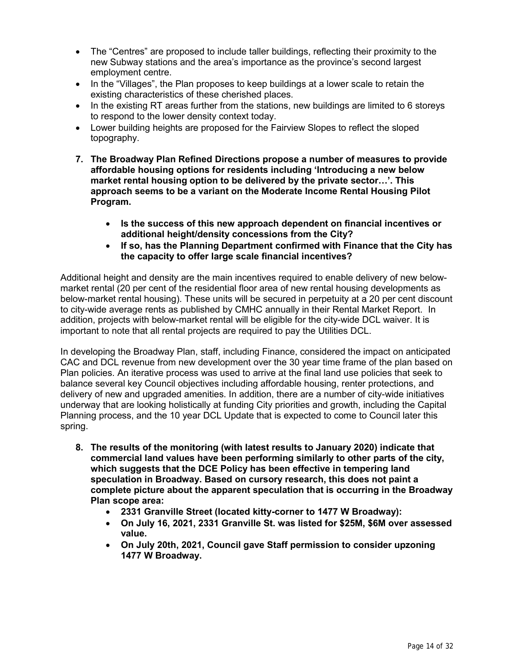- The "Centres" are proposed to include taller buildings, reflecting their proximity to the new Subway stations and the area's importance as the province's second largest employment centre.
- In the "Villages", the Plan proposes to keep buildings at a lower scale to retain the existing characteristics of these cherished places.
- In the existing RT areas further from the stations, new buildings are limited to 6 storeys to respond to the lower density context today.
- Lower building heights are proposed for the Fairview Slopes to reflect the sloped topography.
- **7. The Broadway Plan Refined Directions propose a number of measures to provide affordable housing options for residents including 'Introducing a new below market rental housing option to be delivered by the private sector…'. This approach seems to be a variant on the Moderate Income Rental Housing Pilot Program.**
	- **Is the success of this new approach dependent on financial incentives or additional height/density concessions from the City?**
	- **If so, has the Planning Department confirmed with Finance that the City has the capacity to offer large scale financial incentives?**

Additional height and density are the main incentives required to enable delivery of new belowmarket rental (20 per cent of the residential floor area of new rental housing developments as below-market rental housing). These units will be secured in perpetuity at a 20 per cent discount to city-wide average rents as published by CMHC annually in their Rental Market Report. In addition, projects with below-market rental will be eligible for the city-wide DCL waiver. It is important to note that all rental projects are required to pay the Utilities DCL.

In developing the Broadway Plan, staff, including Finance, considered the impact on anticipated CAC and DCL revenue from new development over the 30 year time frame of the plan based on Plan policies. An iterative process was used to arrive at the final land use policies that seek to balance several key Council objectives including affordable housing, renter protections, and delivery of new and upgraded amenities. In addition, there are a number of city-wide initiatives underway that are looking holistically at funding City priorities and growth, including the Capital Planning process, and the 10 year DCL Update that is expected to come to Council later this spring.

- **8. The results of the monitoring (with latest results to January 2020) indicate that commercial land values have been performing similarly to other parts of the city, which suggests that the DCE Policy has been effective in tempering land speculation in Broadway. Based on cursory research, this does not paint a complete picture about the apparent speculation that is occurring in the Broadway Plan scope area:**
	- **2331 Granville Street (located kitty-corner to 1477 W Broadway):**
	- **On July 16, 2021, 2331 Granville St. was listed for \$25M, \$6M over assessed value.**
	- **On July 20th, 2021, Council gave Staff permission to consider upzoning 1477 W Broadway.**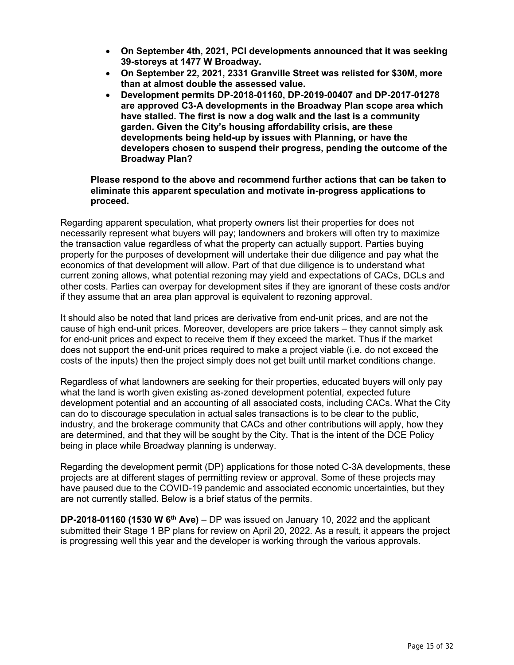- **On September 4th, 2021, PCI developments announced that it was seeking 39-storeys at 1477 W Broadway.**
- **On September 22, 2021, 2331 Granville Street was relisted for \$30M, more than at almost double the assessed value.**
- **Development permits DP-2018-01160, DP-2019-00407 and DP-2017-01278 are approved C3-A developments in the Broadway Plan scope area which have stalled. The first is now a dog walk and the last is a community garden. Given the City's housing affordability crisis, are these developments being held-up by issues with Planning, or have the developers chosen to suspend their progress, pending the outcome of the Broadway Plan?**

#### **Please respond to the above and recommend further actions that can be taken to eliminate this apparent speculation and motivate in-progress applications to proceed.**

Regarding apparent speculation, what property owners list their properties for does not necessarily represent what buyers will pay; landowners and brokers will often try to maximize the transaction value regardless of what the property can actually support. Parties buying property for the purposes of development will undertake their due diligence and pay what the economics of that development will allow. Part of that due diligence is to understand what current zoning allows, what potential rezoning may yield and expectations of CACs, DCLs and other costs. Parties can overpay for development sites if they are ignorant of these costs and/or if they assume that an area plan approval is equivalent to rezoning approval.

It should also be noted that land prices are derivative from end-unit prices, and are not the cause of high end-unit prices. Moreover, developers are price takers – they cannot simply ask for end-unit prices and expect to receive them if they exceed the market. Thus if the market does not support the end-unit prices required to make a project viable (i.e. do not exceed the costs of the inputs) then the project simply does not get built until market conditions change.

Regardless of what landowners are seeking for their properties, educated buyers will only pay what the land is worth given existing as-zoned development potential, expected future development potential and an accounting of all associated costs, including CACs. What the City can do to discourage speculation in actual sales transactions is to be clear to the public, industry, and the brokerage community that CACs and other contributions will apply, how they are determined, and that they will be sought by the City. That is the intent of the DCE Policy being in place while Broadway planning is underway.

Regarding the development permit (DP) applications for those noted C-3A developments, these projects are at different stages of permitting review or approval. Some of these projects may have paused due to the COVID-19 pandemic and associated economic uncertainties, but they are not currently stalled. Below is a brief status of the permits.

**DP-2018-01160 (1530 W 6th Ave)** – DP was issued on January 10, 2022 and the applicant submitted their Stage 1 BP plans for review on April 20, 2022. As a result, it appears the project is progressing well this year and the developer is working through the various approvals.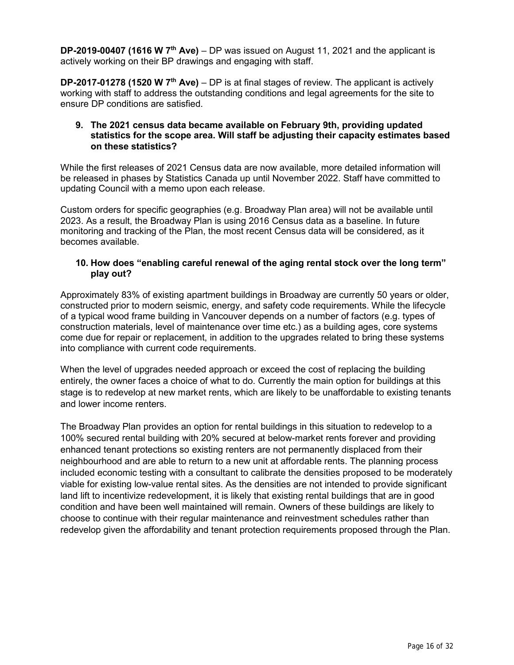**DP-2019-00407 (1616 W 7th Ave)** – DP was issued on August 11, 2021 and the applicant is actively working on their BP drawings and engaging with staff.

**DP-2017-01278 (1520 W 7th Ave)** – DP is at final stages of review. The applicant is actively working with staff to address the outstanding conditions and legal agreements for the site to ensure DP conditions are satisfied.

#### **9. The 2021 census data became available on February 9th, providing updated statistics for the scope area. Will staff be adjusting their capacity estimates based on these statistics?**

While the first releases of 2021 Census data are now available, more detailed information will be released in phases by Statistics Canada up until November 2022. Staff have committed to updating Council with a memo upon each release.

Custom orders for specific geographies (e.g. Broadway Plan area) will not be available until 2023. As a result, the Broadway Plan is using 2016 Census data as a baseline. In future monitoring and tracking of the Plan, the most recent Census data will be considered, as it becomes available.

#### **10. How does "enabling careful renewal of the aging rental stock over the long term" play out?**

Approximately 83% of existing apartment buildings in Broadway are currently 50 years or older, constructed prior to modern seismic, energy, and safety code requirements. While the lifecycle of a typical wood frame building in Vancouver depends on a number of factors (e.g. types of construction materials, level of maintenance over time etc.) as a building ages, core systems come due for repair or replacement, in addition to the upgrades related to bring these systems into compliance with current code requirements.

When the level of upgrades needed approach or exceed the cost of replacing the building entirely, the owner faces a choice of what to do. Currently the main option for buildings at this stage is to redevelop at new market rents, which are likely to be unaffordable to existing tenants and lower income renters.

The Broadway Plan provides an option for rental buildings in this situation to redevelop to a 100% secured rental building with 20% secured at below-market rents forever and providing enhanced tenant protections so existing renters are not permanently displaced from their neighbourhood and are able to return to a new unit at affordable rents. The planning process included economic testing with a consultant to calibrate the densities proposed to be moderately viable for existing low-value rental sites. As the densities are not intended to provide significant land lift to incentivize redevelopment, it is likely that existing rental buildings that are in good condition and have been well maintained will remain. Owners of these buildings are likely to choose to continue with their regular maintenance and reinvestment schedules rather than redevelop given the affordability and tenant protection requirements proposed through the Plan.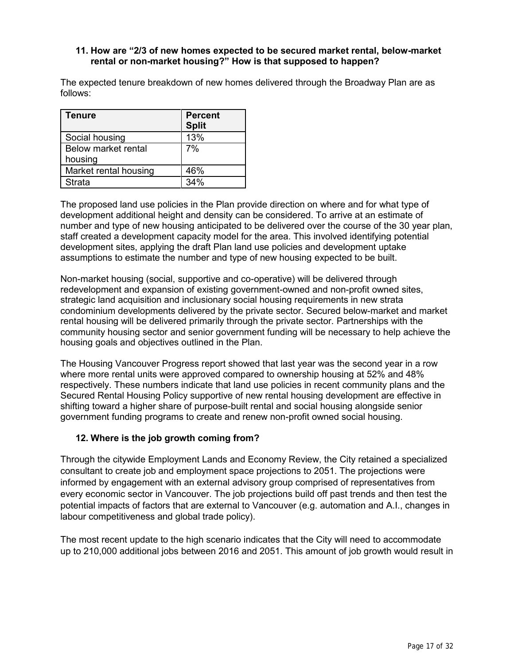#### **11. How are "2/3 of new homes expected to be secured market rental, below-market rental or non-market housing?" How is that supposed to happen?**

The expected tenure breakdown of new homes delivered through the Broadway Plan are as follows:

| <b>Tenure</b>         | <b>Percent</b><br><b>Split</b> |
|-----------------------|--------------------------------|
| Social housing        | 13%                            |
| Below market rental   | 7%                             |
| housing               |                                |
| Market rental housing | 46%                            |
| <b>Strata</b>         | 34%                            |

The proposed land use policies in the Plan provide direction on where and for what type of development additional height and density can be considered. To arrive at an estimate of number and type of new housing anticipated to be delivered over the course of the 30 year plan, staff created a development capacity model for the area. This involved identifying potential development sites, applying the draft Plan land use policies and development uptake assumptions to estimate the number and type of new housing expected to be built.

Non-market housing (social, supportive and co-operative) will be delivered through redevelopment and expansion of existing government-owned and non-profit owned sites, strategic land acquisition and inclusionary social housing requirements in new strata condominium developments delivered by the private sector. Secured below-market and market rental housing will be delivered primarily through the private sector. Partnerships with the community housing sector and senior government funding will be necessary to help achieve the housing goals and objectives outlined in the Plan.

The Housing Vancouver Progress report showed that last year was the second year in a row where more rental units were approved compared to ownership housing at 52% and 48% respectively. These numbers indicate that land use policies in recent community plans and the Secured Rental Housing Policy supportive of new rental housing development are effective in shifting toward a higher share of purpose-built rental and social housing alongside senior government funding programs to create and renew non-profit owned social housing.

### **12. Where is the job growth coming from?**

Through the citywide Employment Lands and Economy Review, the City retained a specialized consultant to create job and employment space projections to 2051. The projections were informed by engagement with an external advisory group comprised of representatives from every economic sector in Vancouver. The job projections build off past trends and then test the potential impacts of factors that are external to Vancouver (e.g. automation and A.I., changes in labour competitiveness and global trade policy).

The most recent update to the high scenario indicates that the City will need to accommodate up to 210,000 additional jobs between 2016 and 2051. This amount of job growth would result in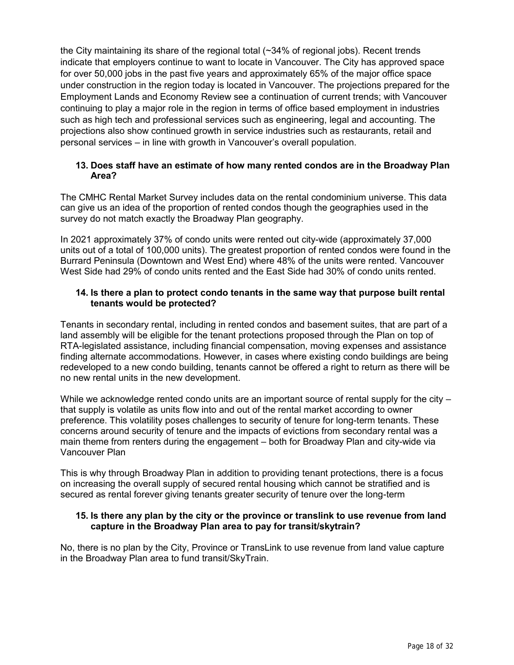the City maintaining its share of the regional total (~34% of regional jobs). Recent trends indicate that employers continue to want to locate in Vancouver. The City has approved space for over 50,000 jobs in the past five years and approximately 65% of the major office space under construction in the region today is located in Vancouver. The projections prepared for the Employment Lands and Economy Review see a continuation of current trends; with Vancouver continuing to play a major role in the region in terms of office based employment in industries such as high tech and professional services such as engineering, legal and accounting. The projections also show continued growth in service industries such as restaurants, retail and personal services – in line with growth in Vancouver's overall population.

#### **13. Does staff have an estimate of how many rented condos are in the Broadway Plan Area?**

The CMHC Rental Market Survey includes data on the rental condominium universe. This data can give us an idea of the proportion of rented condos though the geographies used in the survey do not match exactly the Broadway Plan geography.

In 2021 approximately 37% of condo units were rented out city-wide (approximately 37,000 units out of a total of 100,000 units). The greatest proportion of rented condos were found in the Burrard Peninsula (Downtown and West End) where 48% of the units were rented. Vancouver West Side had 29% of condo units rented and the East Side had 30% of condo units rented.

#### **14. Is there a plan to protect condo tenants in the same way that purpose built rental tenants would be protected?**

Tenants in secondary rental, including in rented condos and basement suites, that are part of a land assembly will be eligible for the tenant protections proposed through the Plan on top of RTA-legislated assistance, including financial compensation, moving expenses and assistance finding alternate accommodations. However, in cases where existing condo buildings are being redeveloped to a new condo building, tenants cannot be offered a right to return as there will be no new rental units in the new development.

While we acknowledge rented condo units are an important source of rental supply for the city – that supply is volatile as units flow into and out of the rental market according to owner preference. This volatility poses challenges to security of tenure for long-term tenants. These concerns around security of tenure and the impacts of evictions from secondary rental was a main theme from renters during the engagement – both for Broadway Plan and city-wide via Vancouver Plan

This is why through Broadway Plan in addition to providing tenant protections, there is a focus on increasing the overall supply of secured rental housing which cannot be stratified and is secured as rental forever giving tenants greater security of tenure over the long-term

#### **15. Is there any plan by the city or the province or translink to use revenue from land capture in the Broadway Plan area to pay for transit/skytrain?**

No, there is no plan by the City, Province or TransLink to use revenue from land value capture in the Broadway Plan area to fund transit/SkyTrain.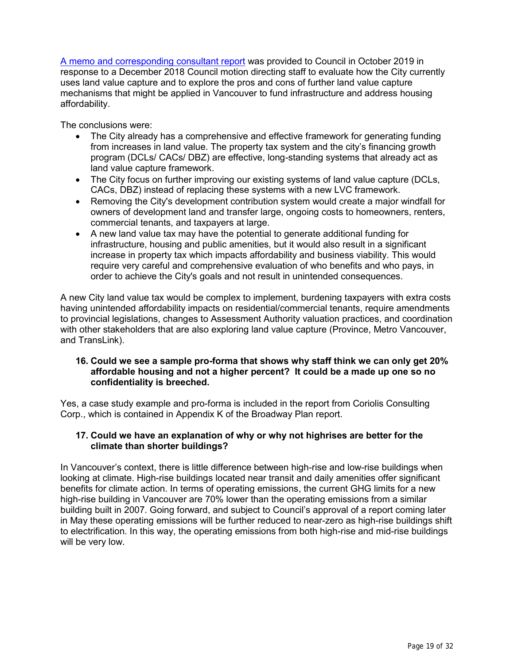[A memo and corresponding consultant report](https://vancouver.ca/files/cov/2019-10-18-land-value-capture.pdf) was provided to Council in October 2019 in response to a December 2018 Council motion directing staff to evaluate how the City currently uses land value capture and to explore the pros and cons of further land value capture mechanisms that might be applied in Vancouver to fund infrastructure and address housing affordability.

The conclusions were:

- The City already has a comprehensive and effective framework for generating funding from increases in land value. The property tax system and the city's financing growth program (DCLs/ CACs/ DBZ) are effective, long-standing systems that already act as land value capture framework.
- The City focus on further improving our existing systems of land value capture (DCLs, CACs, DBZ) instead of replacing these systems with a new LVC framework.
- Removing the City's development contribution system would create a major windfall for owners of development land and transfer large, ongoing costs to homeowners, renters, commercial tenants, and taxpayers at large.
- A new land value tax may have the potential to generate additional funding for infrastructure, housing and public amenities, but it would also result in a significant increase in property tax which impacts affordability and business viability. This would require very careful and comprehensive evaluation of who benefits and who pays, in order to achieve the City's goals and not result in unintended consequences.

A new City land value tax would be complex to implement, burdening taxpayers with extra costs having unintended affordability impacts on residential/commercial tenants, require amendments to provincial legislations, changes to Assessment Authority valuation practices, and coordination with other stakeholders that are also exploring land value capture (Province, Metro Vancouver, and TransLink).

#### **16. Could we see a sample pro-forma that shows why staff think we can only get 20% affordable housing and not a higher percent? It could be a made up one so no confidentiality is breeched.**

Yes, a case study example and pro-forma is included in the report from Coriolis Consulting Corp., which is contained in Appendix K of the Broadway Plan report.

### **17. Could we have an explanation of why or why not highrises are better for the climate than shorter buildings?**

In Vancouver's context, there is little difference between high-rise and low-rise buildings when looking at climate. High-rise buildings located near transit and daily amenities offer significant benefits for climate action. In terms of operating emissions, the current GHG limits for a new high-rise building in Vancouver are 70% lower than the operating emissions from a similar building built in 2007. Going forward, and subject to Council's approval of a report coming later in May these operating emissions will be further reduced to near-zero as high-rise buildings shift to electrification. In this way, the operating emissions from both high-rise and mid-rise buildings will be very low.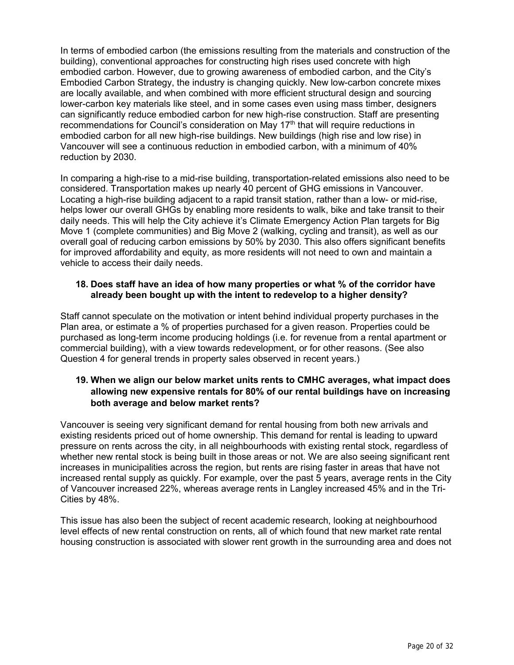In terms of embodied carbon (the emissions resulting from the materials and construction of the building), conventional approaches for constructing high rises used concrete with high embodied carbon. However, due to growing awareness of embodied carbon, and the City's Embodied Carbon Strategy, the industry is changing quickly. New low-carbon concrete mixes are locally available, and when combined with more efficient structural design and sourcing lower-carbon key materials like steel, and in some cases even using mass timber, designers can significantly reduce embodied carbon for new high-rise construction. Staff are presenting recommendations for Council's consideration on May 17<sup>th</sup> that will require reductions in embodied carbon for all new high-rise buildings. New buildings (high rise and low rise) in Vancouver will see a continuous reduction in embodied carbon, with a minimum of 40% reduction by 2030.

In comparing a high-rise to a mid-rise building, transportation-related emissions also need to be considered. Transportation makes up nearly 40 percent of GHG emissions in Vancouver. Locating a high-rise building adjacent to a rapid transit station, rather than a low- or mid-rise, helps lower our overall GHGs by enabling more residents to walk, bike and take transit to their daily needs. This will help the City achieve it's Climate Emergency Action Plan targets for Big Move 1 (complete communities) and Big Move 2 (walking, cycling and transit), as well as our overall goal of reducing carbon emissions by 50% by 2030. This also offers significant benefits for improved affordability and equity, as more residents will not need to own and maintain a vehicle to access their daily needs.

#### **18. Does staff have an idea of how many properties or what % of the corridor have already been bought up with the intent to redevelop to a higher density?**

Staff cannot speculate on the motivation or intent behind individual property purchases in the Plan area, or estimate a % of properties purchased for a given reason. Properties could be purchased as long-term income producing holdings (i.e. for revenue from a rental apartment or commercial building), with a view towards redevelopment, or for other reasons. (See also Question 4 for general trends in property sales observed in recent years.)

### **19. When we align our below market units rents to CMHC averages, what impact does allowing new expensive rentals for 80% of our rental buildings have on increasing both average and below market rents?**

Vancouver is seeing very significant demand for rental housing from both new arrivals and existing residents priced out of home ownership. This demand for rental is leading to upward pressure on rents across the city, in all neighbourhoods with existing rental stock, regardless of whether new rental stock is being built in those areas or not. We are also seeing significant rent increases in municipalities across the region, but rents are rising faster in areas that have not increased rental supply as quickly. For example, over the past 5 years, average rents in the City of Vancouver increased 22%, whereas average rents in Langley increased 45% and in the Tri-Cities by 48%.

This issue has also been the subject of recent academic research, looking at neighbourhood level effects of new rental construction on rents, all of which found that new market rate rental housing construction is associated with slower rent growth in the surrounding area and does not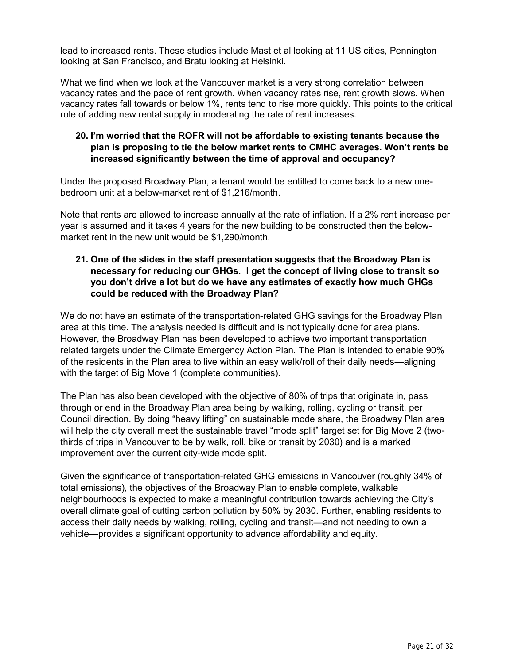lead to increased rents. These studies include Mast et al looking at 11 US cities, Pennington looking at San Francisco, and Bratu looking at Helsinki.

What we find when we look at the Vancouver market is a very strong correlation between vacancy rates and the pace of rent growth. When vacancy rates rise, rent growth slows. When vacancy rates fall towards or below 1%, rents tend to rise more quickly. This points to the critical role of adding new rental supply in moderating the rate of rent increases.

## **20. I'm worried that the ROFR will not be affordable to existing tenants because the plan is proposing to tie the below market rents to CMHC averages. Won't rents be increased significantly between the time of approval and occupancy?**

Under the proposed Broadway Plan, a tenant would be entitled to come back to a new onebedroom unit at a below-market rent of \$1,216/month.

Note that rents are allowed to increase annually at the rate of inflation. If a 2% rent increase per year is assumed and it takes 4 years for the new building to be constructed then the belowmarket rent in the new unit would be \$1,290/month.

## **21. One of the slides in the staff presentation suggests that the Broadway Plan is necessary for reducing our GHGs. I get the concept of living close to transit so you don't drive a lot but do we have any estimates of exactly how much GHGs could be reduced with the Broadway Plan?**

We do not have an estimate of the transportation-related GHG savings for the Broadway Plan area at this time. The analysis needed is difficult and is not typically done for area plans. However, the Broadway Plan has been developed to achieve two important transportation related targets under the Climate Emergency Action Plan. The Plan is intended to enable 90% of the residents in the Plan area to live within an easy walk/roll of their daily needs—aligning with the target of Big Move 1 (complete communities).

The Plan has also been developed with the objective of 80% of trips that originate in, pass through or end in the Broadway Plan area being by walking, rolling, cycling or transit, per Council direction. By doing "heavy lifting" on sustainable mode share, the Broadway Plan area will help the city overall meet the sustainable travel "mode split" target set for Big Move 2 (twothirds of trips in Vancouver to be by walk, roll, bike or transit by 2030) and is a marked improvement over the current city-wide mode split.

Given the significance of transportation-related GHG emissions in Vancouver (roughly 34% of total emissions), the objectives of the Broadway Plan to enable complete, walkable neighbourhoods is expected to make a meaningful contribution towards achieving the City's overall climate goal of cutting carbon pollution by 50% by 2030. Further, enabling residents to access their daily needs by walking, rolling, cycling and transit—and not needing to own a vehicle—provides a significant opportunity to advance affordability and equity.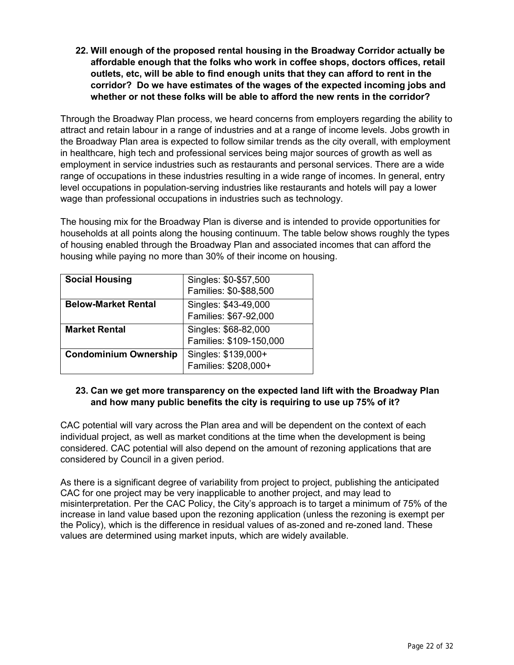**22. Will enough of the proposed rental housing in the Broadway Corridor actually be affordable enough that the folks who work in coffee shops, doctors offices, retail outlets, etc, will be able to find enough units that they can afford to rent in the corridor? Do we have estimates of the wages of the expected incoming jobs and whether or not these folks will be able to afford the new rents in the corridor?**

Through the Broadway Plan process, we heard concerns from employers regarding the ability to attract and retain labour in a range of industries and at a range of income levels. Jobs growth in the Broadway Plan area is expected to follow similar trends as the city overall, with employment in healthcare, high tech and professional services being major sources of growth as well as employment in service industries such as restaurants and personal services. There are a wide range of occupations in these industries resulting in a wide range of incomes. In general, entry level occupations in population-serving industries like restaurants and hotels will pay a lower wage than professional occupations in industries such as technology.

The housing mix for the Broadway Plan is diverse and is intended to provide opportunities for households at all points along the housing continuum. The table below shows roughly the types of housing enabled through the Broadway Plan and associated incomes that can afford the housing while paying no more than 30% of their income on housing.

| <b>Social Housing</b>        | Singles: \$0-\$57,500   |
|------------------------------|-------------------------|
|                              | Families: \$0-\$88,500  |
| <b>Below-Market Rental</b>   | Singles: \$43-49,000    |
|                              | Families: \$67-92,000   |
| <b>Market Rental</b>         | Singles: \$68-82,000    |
|                              | Families: \$109-150,000 |
| <b>Condominium Ownership</b> | Singles: \$139,000+     |
|                              | Families: \$208,000+    |

## **23. Can we get more transparency on the expected land lift with the Broadway Plan and how many public benefits the city is requiring to use up 75% of it?**

CAC potential will vary across the Plan area and will be dependent on the context of each individual project, as well as market conditions at the time when the development is being considered. CAC potential will also depend on the amount of rezoning applications that are considered by Council in a given period.

As there is a significant degree of variability from project to project, publishing the anticipated CAC for one project may be very inapplicable to another project, and may lead to misinterpretation. Per the CAC Policy, the City's approach is to target a minimum of 75% of the increase in land value based upon the rezoning application (unless the rezoning is exempt per the Policy), which is the difference in residual values of as-zoned and re-zoned land. These values are determined using market inputs, which are widely available.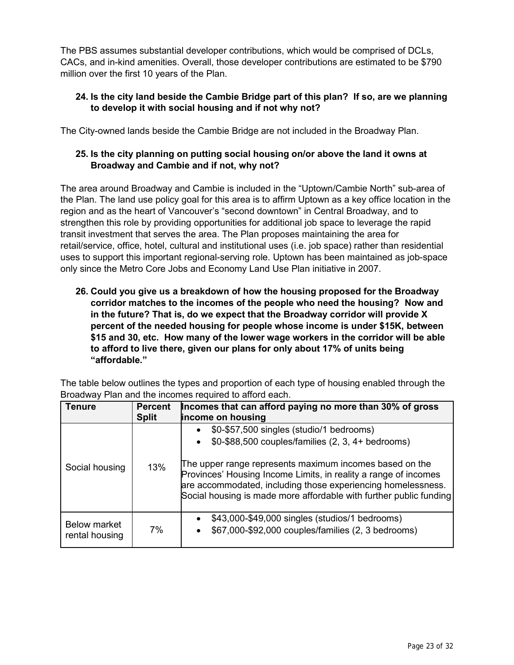The PBS assumes substantial developer contributions, which would be comprised of DCLs, CACs, and in-kind amenities. Overall, those developer contributions are estimated to be \$790 million over the first 10 years of the Plan.

## **24. Is the city land beside the Cambie Bridge part of this plan? If so, are we planning to develop it with social housing and if not why not?**

The City-owned lands beside the Cambie Bridge are not included in the Broadway Plan.

## **25. Is the city planning on putting social housing on/or above the land it owns at Broadway and Cambie and if not, why not?**

The area around Broadway and Cambie is included in the "Uptown/Cambie North" sub-area of the Plan. The land use policy goal for this area is to affirm Uptown as a key office location in the region and as the heart of Vancouver's "second downtown" in Central Broadway, and to strengthen this role by providing opportunities for additional job space to leverage the rapid transit investment that serves the area. The Plan proposes maintaining the area for retail/service, office, hotel, cultural and institutional uses (i.e. job space) rather than residential uses to support this important regional-serving role. Uptown has been maintained as job-space only since the Metro Core Jobs and Economy Land Use Plan initiative in 2007.

**26. Could you give us a breakdown of how the housing proposed for the Broadway corridor matches to the incomes of the people who need the housing? Now and in the future? That is, do we expect that the Broadway corridor will provide X percent of the needed housing for people whose income is under \$15K, between \$15 and 30, etc. How many of the lower wage workers in the corridor will be able to afford to live there, given our plans for only about 17% of units being "affordable."**

| <b>Tenure</b>                         | <b>Percent</b><br><b>Split</b> | Incomes that can afford paying no more than 30% of gross<br>income on housing                                                                                                                                                                                                                                                                                                      |  |  |
|---------------------------------------|--------------------------------|------------------------------------------------------------------------------------------------------------------------------------------------------------------------------------------------------------------------------------------------------------------------------------------------------------------------------------------------------------------------------------|--|--|
| Social housing                        | 13%                            | \$0-\$57,500 singles (studio/1 bedrooms)<br>$$0-\$88,500$ couples/families $(2, 3, 4+)$ bedrooms)<br>$\bullet$<br>The upper range represents maximum incomes based on the<br>Provinces' Housing Income Limits, in reality a range of incomes<br>are accommodated, including those experiencing homelessness.<br>Social housing is made more affordable with further public funding |  |  |
| <b>Below market</b><br>rental housing | 7%                             | \$43,000-\$49,000 singles (studios/1 bedrooms)<br>$\bullet$<br>\$67,000-\$92,000 couples/families (2, 3 bedrooms)<br>$\bullet$                                                                                                                                                                                                                                                     |  |  |

The table below outlines the types and proportion of each type of housing enabled through the Broadway Plan and the incomes required to afford each.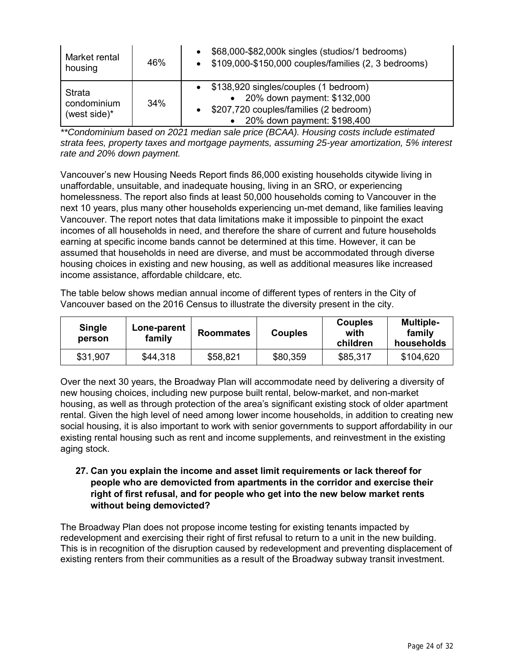| Market rental<br>housing              | 46% | \$68,000-\$82,000k singles (studios/1 bedrooms)<br>$\bullet$<br>\$109,000-\$150,000 couples/families (2, 3 bedrooms)                                         |
|---------------------------------------|-----|--------------------------------------------------------------------------------------------------------------------------------------------------------------|
| Strata<br>condominium<br>(west side)* | 34% | \$138,920 singles/couples (1 bedroom)<br>• 20% down payment: \$132,000<br>\$207,720 couples/families (2 bedroom)<br>$\bullet$<br>20% down payment: \$198,400 |

*\*\*Condominium based on 2021 median sale price (BCAA). Housing costs include estimated strata fees, property taxes and mortgage payments, assuming 25-year amortization, 5% interest rate and 20% down payment.*

Vancouver's new Housing Needs Report finds 86,000 existing households citywide living in unaffordable, unsuitable, and inadequate housing, living in an SRO, or experiencing homelessness. The report also finds at least 50,000 households coming to Vancouver in the next 10 years, plus many other households experiencing un-met demand, like families leaving Vancouver. The report notes that data limitations make it impossible to pinpoint the exact incomes of all households in need, and therefore the share of current and future households earning at specific income bands cannot be determined at this time. However, it can be assumed that households in need are diverse, and must be accommodated through diverse housing choices in existing and new housing, as well as additional measures like increased income assistance, affordable childcare, etc.

The table below shows median annual income of different types of renters in the City of Vancouver based on the 2016 Census to illustrate the diversity present in the city.

| <b>Single</b><br>person | Lone-parent<br>family | <b>Roommates</b> | <b>Couples</b> | <b>Couples</b><br>with<br>children | <b>Multiple-</b><br>family<br>households |
|-------------------------|-----------------------|------------------|----------------|------------------------------------|------------------------------------------|
| \$31,907                | \$44,318              | \$58,821         | \$80,359       | \$85,317                           | \$104,620                                |

Over the next 30 years, the Broadway Plan will accommodate need by delivering a diversity of new housing choices, including new purpose built rental, below-market, and non-market housing, as well as through protection of the area's significant existing stock of older apartment rental. Given the high level of need among lower income households, in addition to creating new social housing, it is also important to work with senior governments to support affordability in our existing rental housing such as rent and income supplements, and reinvestment in the existing aging stock.

## **27. Can you explain the income and asset limit requirements or lack thereof for people who are demovicted from apartments in the corridor and exercise their right of first refusal, and for people who get into the new below market rents without being demovicted?**

The Broadway Plan does not propose income testing for existing tenants impacted by redevelopment and exercising their right of first refusal to return to a unit in the new building. This is in recognition of the disruption caused by redevelopment and preventing displacement of existing renters from their communities as a result of the Broadway subway transit investment.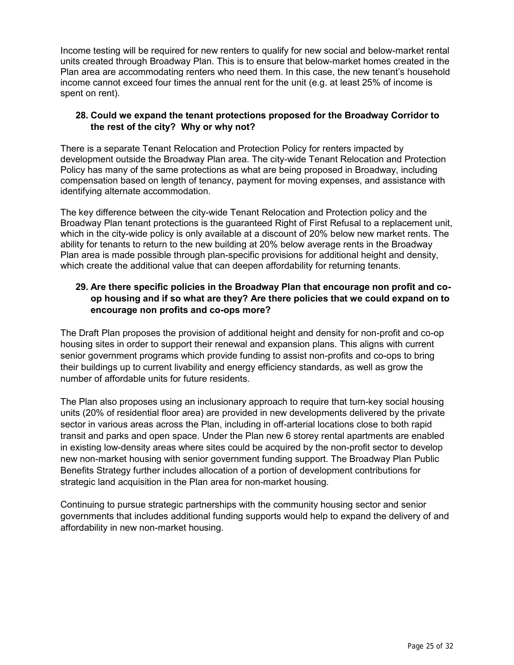Income testing will be required for new renters to qualify for new social and below-market rental units created through Broadway Plan. This is to ensure that below-market homes created in the Plan area are accommodating renters who need them. In this case, the new tenant's household income cannot exceed four times the annual rent for the unit (e.g. at least 25% of income is spent on rent).

## **28. Could we expand the tenant protections proposed for the Broadway Corridor to the rest of the city? Why or why not?**

There is a separate Tenant Relocation and Protection Policy for renters impacted by development outside the Broadway Plan area. The city-wide Tenant Relocation and Protection Policy has many of the same protections as what are being proposed in Broadway, including compensation based on length of tenancy, payment for moving expenses, and assistance with identifying alternate accommodation.

The key difference between the city-wide Tenant Relocation and Protection policy and the Broadway Plan tenant protections is the guaranteed Right of First Refusal to a replacement unit, which in the city-wide policy is only available at a discount of 20% below new market rents. The ability for tenants to return to the new building at 20% below average rents in the Broadway Plan area is made possible through plan-specific provisions for additional height and density, which create the additional value that can deepen affordability for returning tenants.

## **29. Are there specific policies in the Broadway Plan that encourage non profit and coop housing and if so what are they? Are there policies that we could expand on to encourage non profits and co-ops more?**

The Draft Plan proposes the provision of additional height and density for non-profit and co-op housing sites in order to support their renewal and expansion plans. This aligns with current senior government programs which provide funding to assist non-profits and co-ops to bring their buildings up to current livability and energy efficiency standards, as well as grow the number of affordable units for future residents.

The Plan also proposes using an inclusionary approach to require that turn-key social housing units (20% of residential floor area) are provided in new developments delivered by the private sector in various areas across the Plan, including in off-arterial locations close to both rapid transit and parks and open space. Under the Plan new 6 storey rental apartments are enabled in existing low-density areas where sites could be acquired by the non-profit sector to develop new non-market housing with senior government funding support. The Broadway Plan Public Benefits Strategy further includes allocation of a portion of development contributions for strategic land acquisition in the Plan area for non-market housing.

Continuing to pursue strategic partnerships with the community housing sector and senior governments that includes additional funding supports would help to expand the delivery of and affordability in new non-market housing.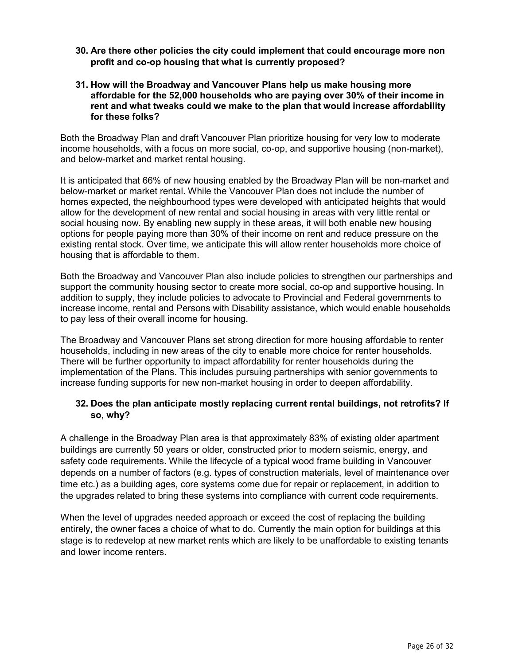- **30. Are there other policies the city could implement that could encourage more non profit and co-op housing that what is currently proposed?**
- **31. How will the Broadway and Vancouver Plans help us make housing more affordable for the 52,000 households who are paying over 30% of their income in rent and what tweaks could we make to the plan that would increase affordability for these folks?**

Both the Broadway Plan and draft Vancouver Plan prioritize housing for very low to moderate income households, with a focus on more social, co-op, and supportive housing (non-market), and below-market and market rental housing.

It is anticipated that 66% of new housing enabled by the Broadway Plan will be non-market and below-market or market rental. While the Vancouver Plan does not include the number of homes expected, the neighbourhood types were developed with anticipated heights that would allow for the development of new rental and social housing in areas with very little rental or social housing now. By enabling new supply in these areas, it will both enable new housing options for people paying more than 30% of their income on rent and reduce pressure on the existing rental stock. Over time, we anticipate this will allow renter households more choice of housing that is affordable to them.

Both the Broadway and Vancouver Plan also include policies to strengthen our partnerships and support the community housing sector to create more social, co-op and supportive housing. In addition to supply, they include policies to advocate to Provincial and Federal governments to increase income, rental and Persons with Disability assistance, which would enable households to pay less of their overall income for housing.

The Broadway and Vancouver Plans set strong direction for more housing affordable to renter households, including in new areas of the city to enable more choice for renter households. There will be further opportunity to impact affordability for renter households during the implementation of the Plans. This includes pursuing partnerships with senior governments to increase funding supports for new non-market housing in order to deepen affordability.

## **32. Does the plan anticipate mostly replacing current rental buildings, not retrofits? If so, why?**

A challenge in the Broadway Plan area is that approximately 83% of existing older apartment buildings are currently 50 years or older, constructed prior to modern seismic, energy, and safety code requirements. While the lifecycle of a typical wood frame building in Vancouver depends on a number of factors (e.g. types of construction materials, level of maintenance over time etc.) as a building ages, core systems come due for repair or replacement, in addition to the upgrades related to bring these systems into compliance with current code requirements.

When the level of upgrades needed approach or exceed the cost of replacing the building entirely, the owner faces a choice of what to do. Currently the main option for buildings at this stage is to redevelop at new market rents which are likely to be unaffordable to existing tenants and lower income renters.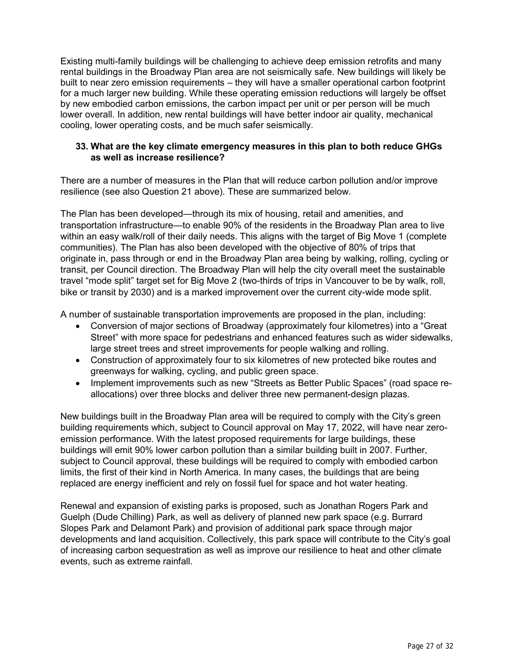Existing multi-family buildings will be challenging to achieve deep emission retrofits and many rental buildings in the Broadway Plan area are not seismically safe. New buildings will likely be built to near zero emission requirements – they will have a smaller operational carbon footprint for a much larger new building. While these operating emission reductions will largely be offset by new embodied carbon emissions, the carbon impact per unit or per person will be much lower overall. In addition, new rental buildings will have better indoor air quality, mechanical cooling, lower operating costs, and be much safer seismically.

## **33. What are the key climate emergency measures in this plan to both reduce GHGs as well as increase resilience?**

There are a number of measures in the Plan that will reduce carbon pollution and/or improve resilience (see also Question 21 above). These are summarized below.

The Plan has been developed—through its mix of housing, retail and amenities, and transportation infrastructure—to enable 90% of the residents in the Broadway Plan area to live within an easy walk/roll of their daily needs. This aligns with the target of Big Move 1 (complete communities). The Plan has also been developed with the objective of 80% of trips that originate in, pass through or end in the Broadway Plan area being by walking, rolling, cycling or transit, per Council direction. The Broadway Plan will help the city overall meet the sustainable travel "mode split" target set for Big Move 2 (two-thirds of trips in Vancouver to be by walk, roll, bike or transit by 2030) and is a marked improvement over the current city-wide mode split.

A number of sustainable transportation improvements are proposed in the plan, including:

- Conversion of major sections of Broadway (approximately four kilometres) into a "Great Street" with more space for pedestrians and enhanced features such as wider sidewalks, large street trees and street improvements for people walking and rolling.
- Construction of approximately four to six kilometres of new protected bike routes and greenways for walking, cycling, and public green space.
- Implement improvements such as new "Streets as Better Public Spaces" (road space reallocations) over three blocks and deliver three new permanent-design plazas.

New buildings built in the Broadway Plan area will be required to comply with the City's green building requirements which, subject to Council approval on May 17, 2022, will have near zeroemission performance. With the latest proposed requirements for large buildings, these buildings will emit 90% lower carbon pollution than a similar building built in 2007. Further, subject to Council approval, these buildings will be required to comply with embodied carbon limits, the first of their kind in North America. In many cases, the buildings that are being replaced are energy inefficient and rely on fossil fuel for space and hot water heating.

Renewal and expansion of existing parks is proposed, such as Jonathan Rogers Park and Guelph (Dude Chilling) Park, as well as delivery of planned new park space (e.g. Burrard Slopes Park and Delamont Park) and provision of additional park space through major developments and land acquisition. Collectively, this park space will contribute to the City's goal of increasing carbon sequestration as well as improve our resilience to heat and other climate events, such as extreme rainfall.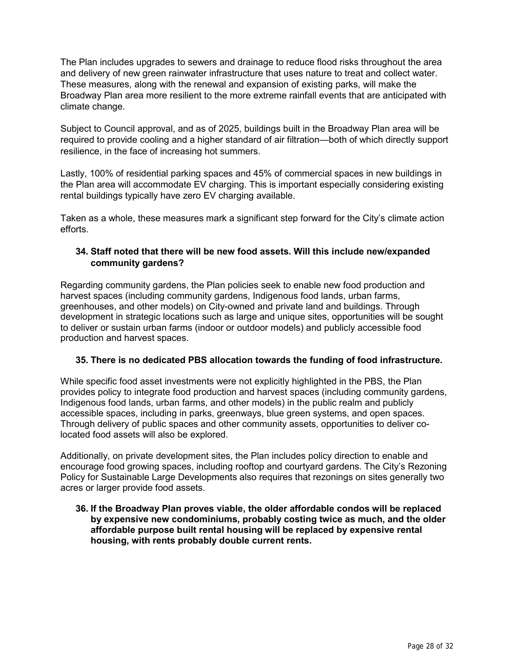The Plan includes upgrades to sewers and drainage to reduce flood risks throughout the area and delivery of new green rainwater infrastructure that uses nature to treat and collect water. These measures, along with the renewal and expansion of existing parks, will make the Broadway Plan area more resilient to the more extreme rainfall events that are anticipated with climate change.

Subject to Council approval, and as of 2025, buildings built in the Broadway Plan area will be required to provide cooling and a higher standard of air filtration—both of which directly support resilience, in the face of increasing hot summers.

Lastly, 100% of residential parking spaces and 45% of commercial spaces in new buildings in the Plan area will accommodate EV charging. This is important especially considering existing rental buildings typically have zero EV charging available.

Taken as a whole, these measures mark a significant step forward for the City's climate action efforts.

## **34. Staff noted that there will be new food assets. Will this include new/expanded community gardens?**

Regarding community gardens, the Plan policies seek to enable new food production and harvest spaces (including community gardens, Indigenous food lands, urban farms, greenhouses, and other models) on City-owned and private land and buildings. Through development in strategic locations such as large and unique sites, opportunities will be sought to deliver or sustain urban farms (indoor or outdoor models) and publicly accessible food production and harvest spaces.

### **35. There is no dedicated PBS allocation towards the funding of food infrastructure.**

While specific food asset investments were not explicitly highlighted in the PBS, the Plan provides policy to integrate food production and harvest spaces (including community gardens, Indigenous food lands, urban farms, and other models) in the public realm and publicly accessible spaces, including in parks, greenways, blue green systems, and open spaces. Through delivery of public spaces and other community assets, opportunities to deliver colocated food assets will also be explored.

Additionally, on private development sites, the Plan includes policy direction to enable and encourage food growing spaces, including rooftop and courtyard gardens. The City's Rezoning Policy for Sustainable Large Developments also requires that rezonings on sites generally two acres or larger provide food assets.

**36. If the Broadway Plan proves viable, the older affordable condos will be replaced by expensive new condominiums, probably costing twice as much, and the older affordable purpose built rental housing will be replaced by expensive rental housing, with rents probably double current rents.**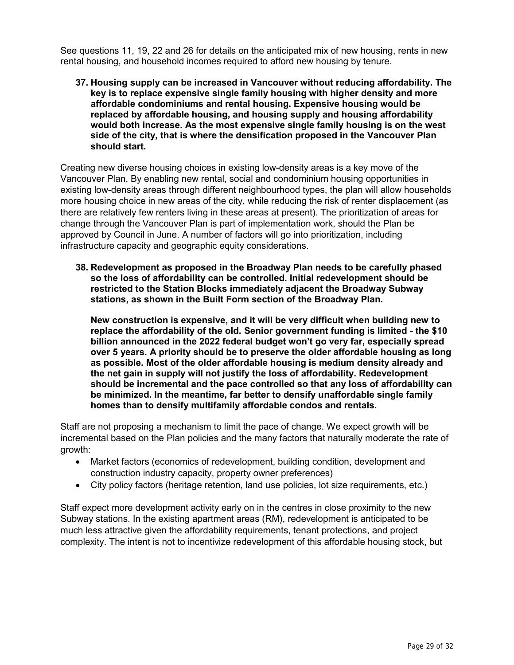See questions 11, 19, 22 and 26 for details on the anticipated mix of new housing, rents in new rental housing, and household incomes required to afford new housing by tenure.

**37. Housing supply can be increased in Vancouver without reducing affordability. The key is to replace expensive single family housing with higher density and more affordable condominiums and rental housing. Expensive housing would be replaced by affordable housing, and housing supply and housing affordability would both increase. As the most expensive single family housing is on the west side of the city, that is where the densification proposed in the Vancouver Plan should start.**

Creating new diverse housing choices in existing low-density areas is a key move of the Vancouver Plan. By enabling new rental, social and condominium housing opportunities in existing low-density areas through different neighbourhood types, the plan will allow households more housing choice in new areas of the city, while reducing the risk of renter displacement (as there are relatively few renters living in these areas at present). The prioritization of areas for change through the Vancouver Plan is part of implementation work, should the Plan be approved by Council in June. A number of factors will go into prioritization, including infrastructure capacity and geographic equity considerations.

**38. Redevelopment as proposed in the Broadway Plan needs to be carefully phased so the loss of affordability can be controlled. Initial redevelopment should be restricted to the Station Blocks immediately adjacent the Broadway Subway stations, as shown in the Built Form section of the Broadway Plan.**

**New construction is expensive, and it will be very difficult when building new to replace the affordability of the old. Senior government funding is limited - the \$10 billion announced in the 2022 federal budget won't go very far, especially spread over 5 years. A priority should be to preserve the older affordable housing as long as possible. Most of the older affordable housing is medium density already and the net gain in supply will not justify the loss of affordability. Redevelopment should be incremental and the pace controlled so that any loss of affordability can be minimized. In the meantime, far better to densify unaffordable single family homes than to densify multifamily affordable condos and rentals.**

Staff are not proposing a mechanism to limit the pace of change. We expect growth will be incremental based on the Plan policies and the many factors that naturally moderate the rate of growth:

- Market factors (economics of redevelopment, building condition, development and construction industry capacity, property owner preferences)
- City policy factors (heritage retention, land use policies, lot size requirements, etc.)

Staff expect more development activity early on in the centres in close proximity to the new Subway stations. In the existing apartment areas (RM), redevelopment is anticipated to be much less attractive given the affordability requirements, tenant protections, and project complexity. The intent is not to incentivize redevelopment of this affordable housing stock, but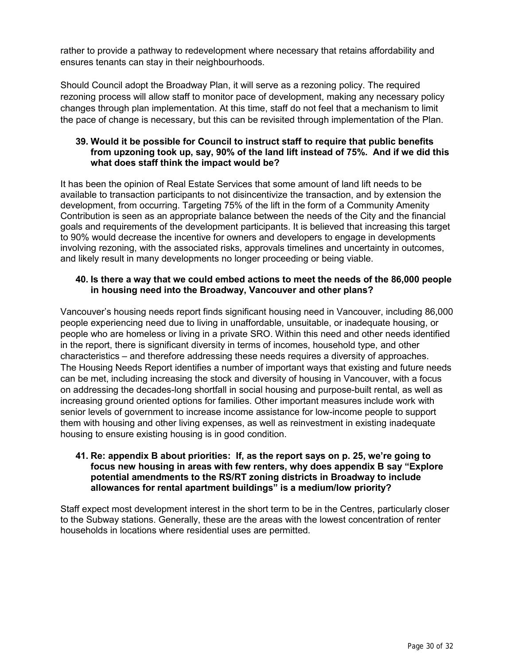rather to provide a pathway to redevelopment where necessary that retains affordability and ensures tenants can stay in their neighbourhoods.

Should Council adopt the Broadway Plan, it will serve as a rezoning policy. The required rezoning process will allow staff to monitor pace of development, making any necessary policy changes through plan implementation. At this time, staff do not feel that a mechanism to limit the pace of change is necessary, but this can be revisited through implementation of the Plan.

#### **39. Would it be possible for Council to instruct staff to require that public benefits from upzoning took up, say, 90% of the land lift instead of 75%. And if we did this what does staff think the impact would be?**

It has been the opinion of Real Estate Services that some amount of land lift needs to be available to transaction participants to not disincentivize the transaction, and by extension the development, from occurring. Targeting 75% of the lift in the form of a Community Amenity Contribution is seen as an appropriate balance between the needs of the City and the financial goals and requirements of the development participants. It is believed that increasing this target to 90% would decrease the incentive for owners and developers to engage in developments involving rezoning, with the associated risks, approvals timelines and uncertainty in outcomes, and likely result in many developments no longer proceeding or being viable.

#### **40. Is there a way that we could embed actions to meet the needs of the 86,000 people in housing need into the Broadway, Vancouver and other plans?**

Vancouver's housing needs report finds significant housing need in Vancouver, including 86,000 people experiencing need due to living in unaffordable, unsuitable, or inadequate housing, or people who are homeless or living in a private SRO. Within this need and other needs identified in the report, there is significant diversity in terms of incomes, household type, and other characteristics – and therefore addressing these needs requires a diversity of approaches. The Housing Needs Report identifies a number of important ways that existing and future needs can be met, including increasing the stock and diversity of housing in Vancouver, with a focus on addressing the decades-long shortfall in social housing and purpose-built rental, as well as increasing ground oriented options for families. Other important measures include work with senior levels of government to increase income assistance for low-income people to support them with housing and other living expenses, as well as reinvestment in existing inadequate housing to ensure existing housing is in good condition.

#### **41. Re: appendix B about priorities: If, as the report says on p. 25, we're going to focus new housing in areas with few renters, why does appendix B say "Explore potential amendments to the RS/RT zoning districts in Broadway to include allowances for rental apartment buildings" is a medium/low priority?**

Staff expect most development interest in the short term to be in the Centres, particularly closer to the Subway stations. Generally, these are the areas with the lowest concentration of renter households in locations where residential uses are permitted.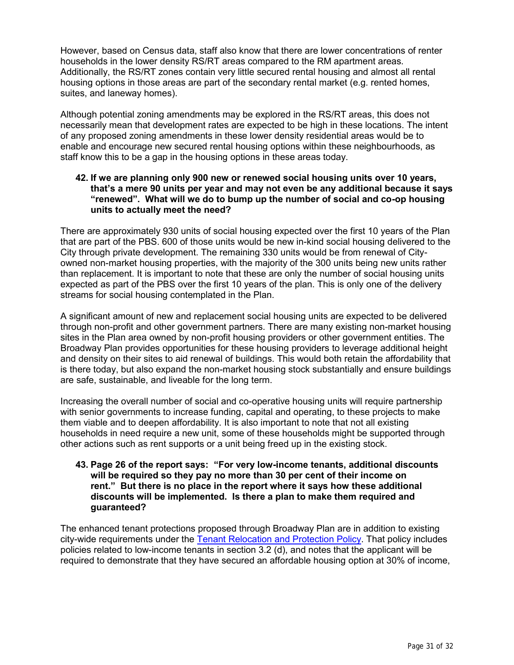However, based on Census data, staff also know that there are lower concentrations of renter households in the lower density RS/RT areas compared to the RM apartment areas. Additionally, the RS/RT zones contain very little secured rental housing and almost all rental housing options in those areas are part of the secondary rental market (e.g. rented homes, suites, and laneway homes).

Although potential zoning amendments may be explored in the RS/RT areas, this does not necessarily mean that development rates are expected to be high in these locations. The intent of any proposed zoning amendments in these lower density residential areas would be to enable and encourage new secured rental housing options within these neighbourhoods, as staff know this to be a gap in the housing options in these areas today.

#### **42. If we are planning only 900 new or renewed social housing units over 10 years, that's a mere 90 units per year and may not even be any additional because it says "renewed". What will we do to bump up the number of social and co-op housing units to actually meet the need?**

There are approximately 930 units of social housing expected over the first 10 years of the Plan that are part of the PBS. 600 of those units would be new in-kind social housing delivered to the City through private development. The remaining 330 units would be from renewal of Cityowned non-market housing properties, with the majority of the 300 units being new units rather than replacement. It is important to note that these are only the number of social housing units expected as part of the PBS over the first 10 years of the plan. This is only one of the delivery streams for social housing contemplated in the Plan.

A significant amount of new and replacement social housing units are expected to be delivered through non-profit and other government partners. There are many existing non-market housing sites in the Plan area owned by non-profit housing providers or other government entities. The Broadway Plan provides opportunities for these housing providers to leverage additional height and density on their sites to aid renewal of buildings. This would both retain the affordability that is there today, but also expand the non-market housing stock substantially and ensure buildings are safe, sustainable, and liveable for the long term.

Increasing the overall number of social and co-operative housing units will require partnership with senior governments to increase funding, capital and operating, to these projects to make them viable and to deepen affordability. It is also important to note that not all existing households in need require a new unit, some of these households might be supported through other actions such as rent supports or a unit being freed up in the existing stock.

#### **43. Page 26 of the report says: "For very low-income tenants, additional discounts will be required so they pay no more than 30 per cent of their income on rent." But there is no place in the report where it says how these additional discounts will be implemented. Is there a plan to make them required and guaranteed?**

The enhanced tenant protections proposed through Broadway Plan are in addition to existing city-wide requirements under the [Tenant Relocation and Protection Policy.](https://guidelines.vancouver.ca/policy-tenant-relocation-protection-for-rezonings.pdf) That policy includes policies related to low-income tenants in section 3.2 (d), and notes that the applicant will be required to demonstrate that they have secured an affordable housing option at 30% of income,